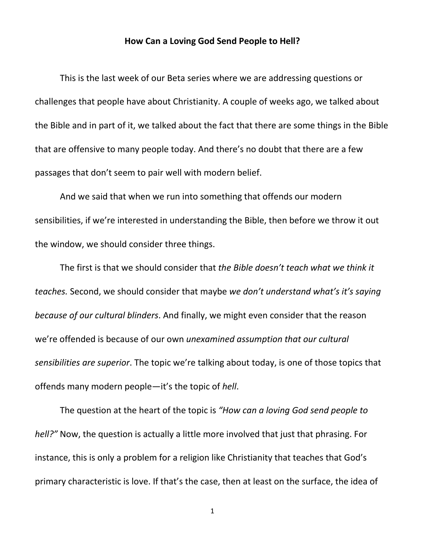## **How Can a Loving God Send People to Hell?**

This is the last week of our Beta series where we are addressing questions or challenges that people have about Christianity. A couple of weeks ago, we talked about the Bible and in part of it, we talked about the fact that there are some things in the Bible that are offensive to many people today. And there's no doubt that there are a few passages that don't seem to pair well with modern belief.

And we said that when we run into something that offends our modern sensibilities, if we're interested in understanding the Bible, then before we throw it out the window, we should consider three things.

The first is that we should consider that *the Bible doesn't teach what we think it teaches.* Second, we should consider that maybe *we don't understand what's it's saying because of our cultural blinders*. And finally, we might even consider that the reason we're offended is because of our own *unexamined assumption that our cultural sensibilities are superior*. The topic we're talking about today, is one of those topics that offends many modern people—it's the topic of *hell*.

The question at the heart of the topic is *"How can a loving God send people to hell?"* Now, the question is actually a little more involved that just that phrasing. For instance, this is only a problem for a religion like Christianity that teaches that God's primary characteristic is love. If that's the case, then at least on the surface, the idea of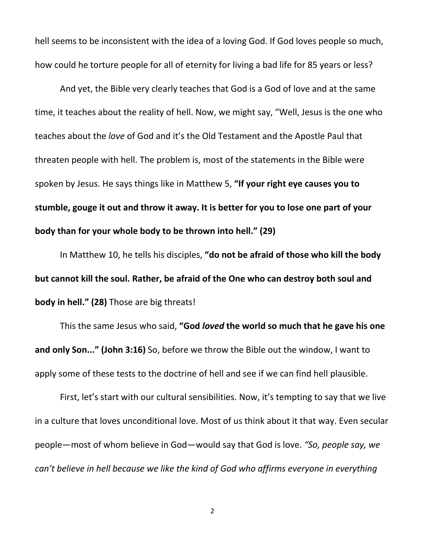hell seems to be inconsistent with the idea of a loving God. If God loves people so much, how could he torture people for all of eternity for living a bad life for 85 years or less?

And yet, the Bible very clearly teaches that God is a God of love and at the same time, it teaches about the reality of hell. Now, we might say, "Well, Jesus is the one who teaches about the *love* of God and it's the Old Testament and the Apostle Paul that threaten people with hell. The problem is, most of the statements in the Bible were spoken by Jesus. He says things like in Matthew 5, **"If your right eye causes you to stumble, gouge it out and throw it away. It is better for you to lose one part of your body than for your whole body to be thrown into hell." (29)**

In Matthew 10, he tells his disciples, **"do not be afraid of those who kill the body but cannot kill the soul. Rather, be afraid of the One who can destroy both soul and body in hell." (28)** Those are big threats!

This the same Jesus who said, **"God** *loved* **the world so much that he gave his one and only Son..." (John 3:16)** So, before we throw the Bible out the window, I want to apply some of these tests to the doctrine of hell and see if we can find hell plausible.

First, let's start with our cultural sensibilities. Now, it's tempting to say that we live in a culture that loves unconditional love. Most of us think about it that way. Even secular people—most of whom believe in God—would say that God is love. *"So, people say, we can't believe in hell because we like the kind of God who affirms everyone in everything*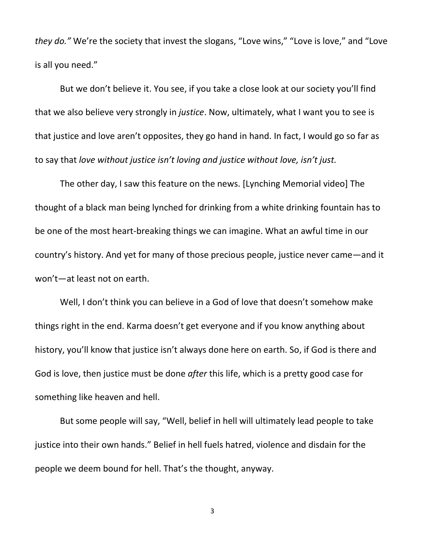*they do."* We're the society that invest the slogans, "Love wins," "Love is love," and "Love is all you need."

But we don't believe it. You see, if you take a close look at our society you'll find that we also believe very strongly in *justice*. Now, ultimately, what I want you to see is that justice and love aren't opposites, they go hand in hand. In fact, I would go so far as to say that *love without justice isn't loving and justice without love, isn't just.*

The other day, I saw this feature on the news. [Lynching Memorial video] The thought of a black man being lynched for drinking from a white drinking fountain has to be one of the most heart-breaking things we can imagine. What an awful time in our country's history. And yet for many of those precious people, justice never came—and it won't—at least not on earth.

Well, I don't think you can believe in a God of love that doesn't somehow make things right in the end. Karma doesn't get everyone and if you know anything about history, you'll know that justice isn't always done here on earth. So, if God is there and God is love, then justice must be done *after* this life, which is a pretty good case for something like heaven and hell.

But some people will say, "Well, belief in hell will ultimately lead people to take justice into their own hands." Belief in hell fuels hatred, violence and disdain for the people we deem bound for hell. That's the thought, anyway.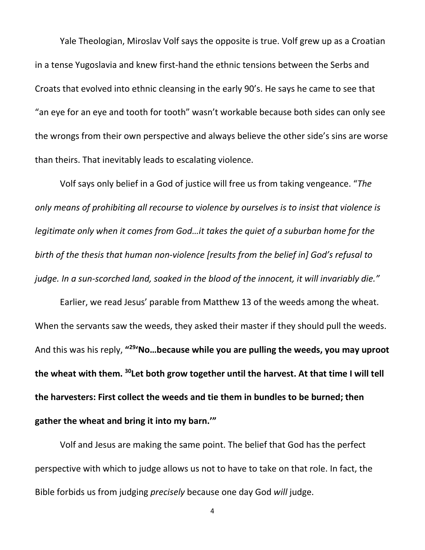Yale Theologian, Miroslav Volf says the opposite is true. Volf grew up as a Croatian in a tense Yugoslavia and knew first-hand the ethnic tensions between the Serbs and Croats that evolved into ethnic cleansing in the early 90's. He says he came to see that "an eye for an eye and tooth for tooth" wasn't workable because both sides can only see the wrongs from their own perspective and always believe the other side's sins are worse than theirs. That inevitably leads to escalating violence.

Volf says only belief in a God of justice will free us from taking vengeance. "*The only means of prohibiting all recourse to violence by ourselves is to insist that violence is legitimate only when it comes from God…it takes the quiet of a suburban home for the birth of the thesis that human non-violence [results from the belief in] God's refusal to judge. In a sun-scorched land, soaked in the blood of the innocent, it will invariably die."*

Earlier, we read Jesus' parable from Matthew 13 of the weeds among the wheat. When the servants saw the weeds, they asked their master if they should pull the weeds. And this was his reply, **"29'No…because while you are pulling the weeds, you may uproot the wheat with them. 30Let both grow together until the harvest. At that time I will tell the harvesters: First collect the weeds and tie them in bundles to be burned; then gather the wheat and bring it into my barn.'"**

Volf and Jesus are making the same point. The belief that God has the perfect perspective with which to judge allows us not to have to take on that role. In fact, the Bible forbids us from judging *precisely* because one day God *will* judge.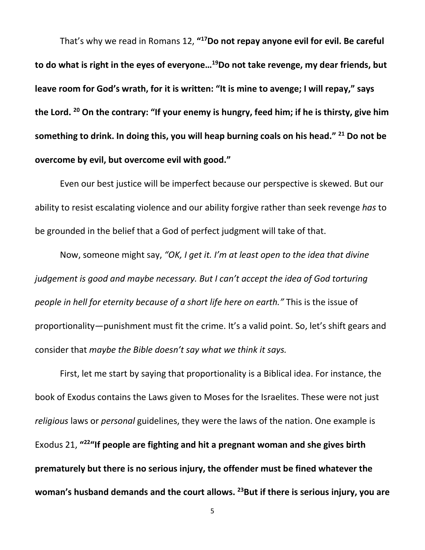That's why we read in Romans 12, **"17Do not repay anyone evil for evil. Be careful to do what is right in the eyes of everyone…19Do not take revenge, my dear friends, but leave room for God's wrath, for it is written: "It is mine to avenge; I will repay," says the Lord. 20 On the contrary: "If your enemy is hungry, feed him; if he is thirsty, give him something to drink. In doing this, you will heap burning coals on his head." <sup>21</sup> Do not be overcome by evil, but overcome evil with good."**

Even our best justice will be imperfect because our perspective is skewed. But our ability to resist escalating violence and our ability forgive rather than seek revenge *has* to be grounded in the belief that a God of perfect judgment will take of that.

Now, someone might say, *"OK, I get it. I'm at least open to the idea that divine judgement is good and maybe necessary. But I can't accept the idea of God torturing people in hell for eternity because of a short life here on earth."* This is the issue of proportionality—punishment must fit the crime. It's a valid point. So, let's shift gears and consider that *maybe the Bible doesn't say what we think it says.* 

First, let me start by saying that proportionality is a Biblical idea. For instance, the book of Exodus contains the Laws given to Moses for the Israelites. These were not just *religious* laws or *personal* guidelines, they were the laws of the nation. One example is Exodus 21, **"22"If people are fighting and hit a pregnant woman and she gives birth prematurely but there is no serious injury, the offender must be fined whatever the woman's husband demands and the court allows. 23But if there is serious injury, you are**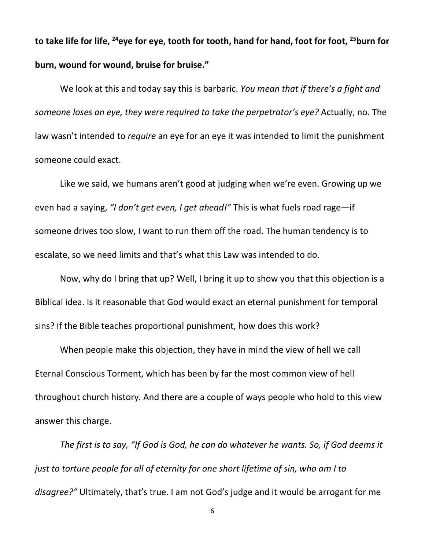**to take life for life, 24eye for eye, tooth for tooth, hand for hand, foot for foot, 25burn for burn, wound for wound, bruise for bruise."**

We look at this and today say this is barbaric. *You mean that if there's a fight and someone loses an eye, they were required to take the perpetrator's eye?* Actually, no. The law wasn't intended to *require* an eye for an eye it was intended to limit the punishment someone could exact.

Like we said, we humans aren't good at judging when we're even. Growing up we even had a saying, *"I don't get even, I get ahead!"* This is what fuels road rage—if someone drives too slow, I want to run them off the road. The human tendency is to escalate, so we need limits and that's what this Law was intended to do.

Now, why do I bring that up? Well, I bring it up to show you that this objection is a Biblical idea. Is it reasonable that God would exact an eternal punishment for temporal sins? If the Bible teaches proportional punishment, how does this work?

When people make this objection, they have in mind the view of hell we call Eternal Conscious Torment, which has been by far the most common view of hell throughout church history. And there are a couple of ways people who hold to this view answer this charge.

*The first is to say, "If God is God, he can do whatever he wants. So, if God deems it just to torture people for all of eternity for one short lifetime of sin, who am I to disagree?"* Ultimately, that's true. I am not God's judge and it would be arrogant for me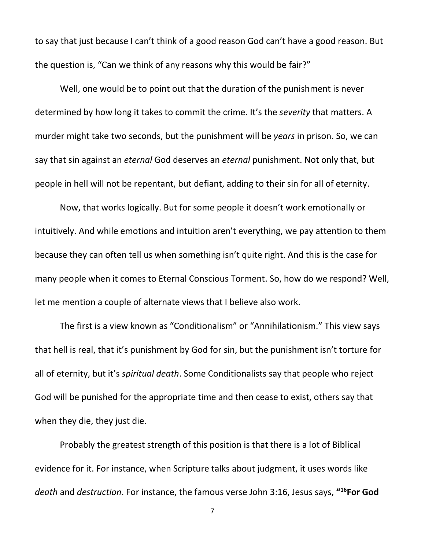to say that just because I can't think of a good reason God can't have a good reason. But the question is, "Can we think of any reasons why this would be fair?"

Well, one would be to point out that the duration of the punishment is never determined by how long it takes to commit the crime. It's the *severity* that matters. A murder might take two seconds, but the punishment will be *years* in prison. So, we can say that sin against an *eternal* God deserves an *eternal* punishment. Not only that, but people in hell will not be repentant, but defiant, adding to their sin for all of eternity.

Now, that works logically. But for some people it doesn't work emotionally or intuitively. And while emotions and intuition aren't everything, we pay attention to them because they can often tell us when something isn't quite right. And this is the case for many people when it comes to Eternal Conscious Torment. So, how do we respond? Well, let me mention a couple of alternate views that I believe also work.

The first is a view known as "Conditionalism" or "Annihilationism." This view says that hell is real, that it's punishment by God for sin, but the punishment isn't torture for all of eternity, but it's *spiritual death*. Some Conditionalists say that people who reject God will be punished for the appropriate time and then cease to exist, others say that when they die, they just die.

Probably the greatest strength of this position is that there is a lot of Biblical evidence for it. For instance, when Scripture talks about judgment, it uses words like *death* and *destruction*. For instance, the famous verse John 3:16, Jesus says, **"16For God**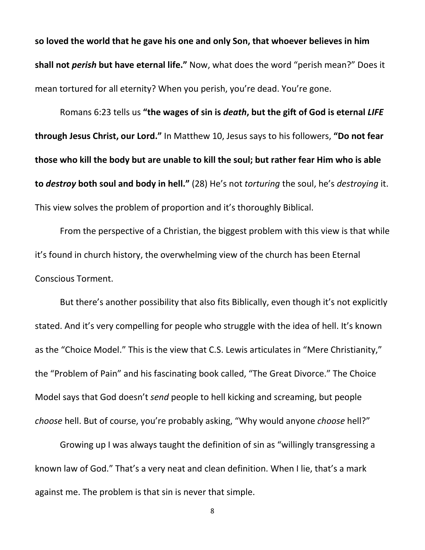**so loved the world that he gave his one and only Son, that whoever believes in him shall not** *perish* **but have eternal life."** Now, what does the word "perish mean?" Does it mean tortured for all eternity? When you perish, you're dead. You're gone.

Romans 6:23 tells us **"the wages of sin is** *death***, but the gift of God is eternal** *LIFE* **through Jesus Christ, our Lord."** In Matthew 10, Jesus says to his followers, **"Do not fear those who kill the body but are unable to kill the soul; but rather fear Him who is able to** *destroy* **both soul and body in hell."** (28) He's not *torturing* the soul, he's *destroying* it. This view solves the problem of proportion and it's thoroughly Biblical.

From the perspective of a Christian, the biggest problem with this view is that while it's found in church history, the overwhelming view of the church has been Eternal Conscious Torment.

But there's another possibility that also fits Biblically, even though it's not explicitly stated. And it's very compelling for people who struggle with the idea of hell. It's known as the "Choice Model." This is the view that C.S. Lewis articulates in "Mere Christianity," the "Problem of Pain" and his fascinating book called, "The Great Divorce." The Choice Model says that God doesn't *send* people to hell kicking and screaming, but people *choose* hell. But of course, you're probably asking, "Why would anyone *choose* hell?"

Growing up I was always taught the definition of sin as "willingly transgressing a known law of God." That's a very neat and clean definition. When I lie, that's a mark against me. The problem is that sin is never that simple.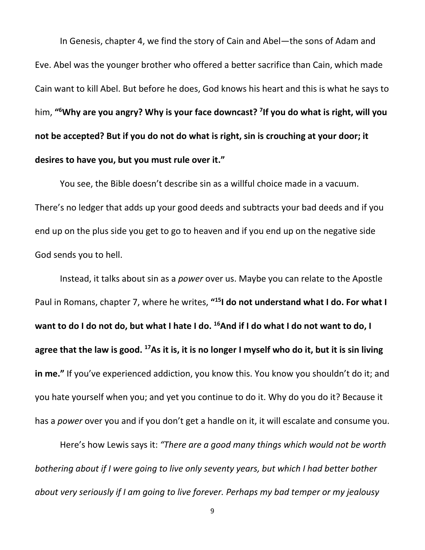In Genesis, chapter 4, we find the story of Cain and Abel—the sons of Adam and Eve. Abel was the younger brother who offered a better sacrifice than Cain, which made Cain want to kill Abel. But before he does, God knows his heart and this is what he says to him, **"6 Why are you angry? Why is your face downcast? 7 If you do what is right, will you not be accepted? But if you do not do what is right, sin is crouching at your door; it desires to have you, but you must rule over it."**

You see, the Bible doesn't describe sin as a willful choice made in a vacuum. There's no ledger that adds up your good deeds and subtracts your bad deeds and if you end up on the plus side you get to go to heaven and if you end up on the negative side God sends you to hell.

Instead, it talks about sin as a *power* over us. Maybe you can relate to the Apostle Paul in Romans, chapter 7, where he writes, **"15I do not understand what I do. For what I**  want to do I do not do, but what I hate I do. <sup>16</sup>And if I do what I do not want to do, I **agree that the law is good. 17As it is, it is no longer I myself who do it, but it is sin living in me."** If you've experienced addiction, you know this. You know you shouldn't do it; and you hate yourself when you; and yet you continue to do it. Why do you do it? Because it has a *power* over you and if you don't get a handle on it, it will escalate and consume you.

Here's how Lewis says it: *"There are a good many things which would not be worth bothering about if I were going to live only seventy years, but which I had better bother about very seriously if I am going to live forever. Perhaps my bad temper or my jealousy*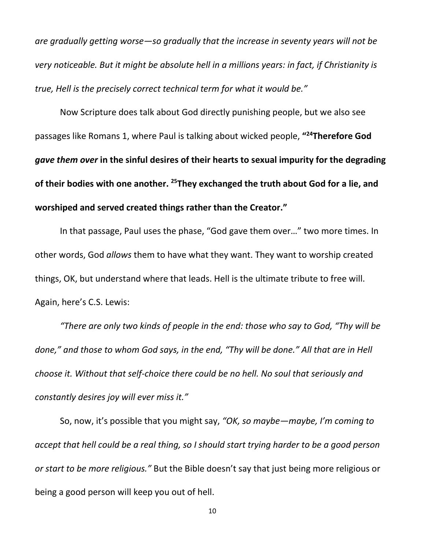*are gradually getting worse—so gradually that the increase in seventy years will not be very noticeable. But it might be absolute hell in a millions years: in fact, if Christianity is true, Hell is the precisely correct technical term for what it would be."*

Now Scripture does talk about God directly punishing people, but we also see passages like Romans 1, where Paul is talking about wicked people, **"24Therefore God**  *gave them over* **in the sinful desires of their hearts to sexual impurity for the degrading of their bodies with one another. 25They exchanged the truth about God for a lie, and worshiped and served created things rather than the Creator."**

In that passage, Paul uses the phase, "God gave them over…" two more times. In other words, God *allows* them to have what they want. They want to worship created things, OK, but understand where that leads. Hell is the ultimate tribute to free will. Again, here's C.S. Lewis:

*"There are only two kinds of people in the end: those who say to God, "Thy will be done," and those to whom God says, in the end, "Thy will be done." All that are in Hell choose it. Without that self-choice there could be no hell. No soul that seriously and constantly desires joy will ever miss it."*

So, now, it's possible that you might say, *"OK, so maybe—maybe, I'm coming to accept that hell could be a real thing, so I should start trying harder to be a good person or start to be more religious."* But the Bible doesn't say that just being more religious or being a good person will keep you out of hell.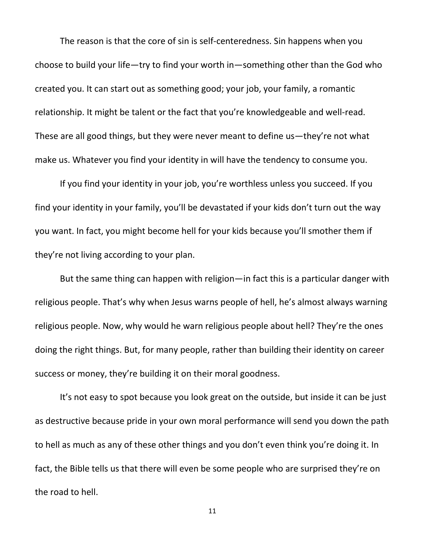The reason is that the core of sin is self-centeredness. Sin happens when you choose to build your life—try to find your worth in—something other than the God who created you. It can start out as something good; your job, your family, a romantic relationship. It might be talent or the fact that you're knowledgeable and well-read. These are all good things, but they were never meant to define us—they're not what make us. Whatever you find your identity in will have the tendency to consume you.

If you find your identity in your job, you're worthless unless you succeed. If you find your identity in your family, you'll be devastated if your kids don't turn out the way you want. In fact, you might become hell for your kids because you'll smother them if they're not living according to your plan.

But the same thing can happen with religion—in fact this is a particular danger with religious people. That's why when Jesus warns people of hell, he's almost always warning religious people. Now, why would he warn religious people about hell? They're the ones doing the right things. But, for many people, rather than building their identity on career success or money, they're building it on their moral goodness.

It's not easy to spot because you look great on the outside, but inside it can be just as destructive because pride in your own moral performance will send you down the path to hell as much as any of these other things and you don't even think you're doing it. In fact, the Bible tells us that there will even be some people who are surprised they're on the road to hell.